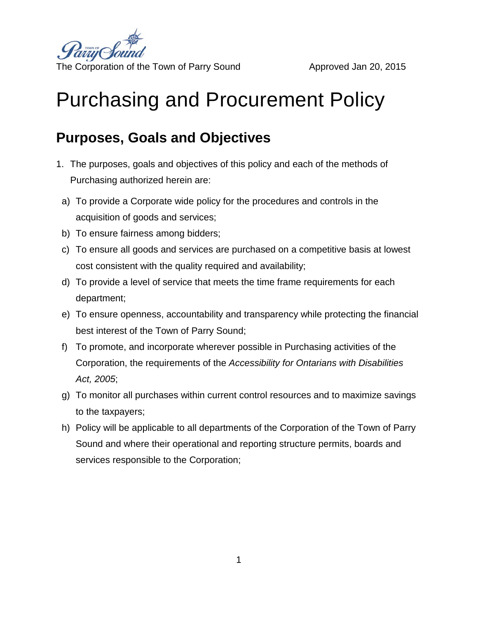

# Purchasing and Procurement Policy

## **Purposes, Goals and Objectives**

- 1. The purposes, goals and objectives of this policy and each of the methods of Purchasing authorized herein are:
	- a) To provide a Corporate wide policy for the procedures and controls in the acquisition of goods and services;
	- b) To ensure fairness among bidders;
	- c) To ensure all goods and services are purchased on a competitive basis at lowest cost consistent with the quality required and availability;
	- d) To provide a level of service that meets the time frame requirements for each department;
	- e) To ensure openness, accountability and transparency while protecting the financial best interest of the Town of Parry Sound;
- f) To promote, and incorporate wherever possible in Purchasing activities of the Corporation, the requirements of the *Accessibility for Ontarians with Disabilities Act, 2005*;
- g) To monitor all purchases within current control resources and to maximize savings to the taxpayers;
- h) Policy will be applicable to all departments of the Corporation of the Town of Parry Sound and where their operational and reporting structure permits, boards and services responsible to the Corporation;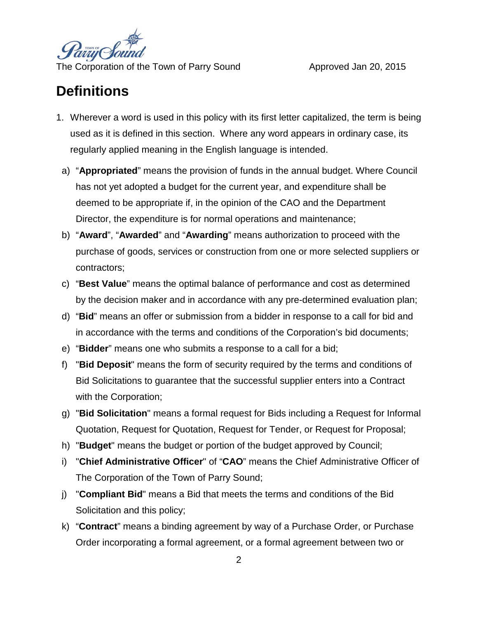

### **Definitions**

- 1. Wherever a word is used in this policy with its first letter capitalized, the term is being used as it is defined in this section. Where any word appears in ordinary case, its regularly applied meaning in the English language is intended.
	- a) "**Appropriated**" means the provision of funds in the annual budget. Where Council has not yet adopted a budget for the current year, and expenditure shall be deemed to be appropriate if, in the opinion of the CAO and the Department Director, the expenditure is for normal operations and maintenance;
	- b) "**Award**", "**Awarded**" and "**Awarding**" means authorization to proceed with the purchase of goods, services or construction from one or more selected suppliers or contractors;
	- c) "**Best Value**" means the optimal balance of performance and cost as determined by the decision maker and in accordance with any pre-determined evaluation plan;
	- d) "**Bid**" means an offer or submission from a bidder in response to a call for bid and in accordance with the terms and conditions of the Corporation's bid documents;
	- e) "**Bidder**" means one who submits a response to a call for a bid;
- f) "**Bid Deposit**" means the form of security required by the terms and conditions of Bid Solicitations to guarantee that the successful supplier enters into a Contract with the Corporation;
- g) "**Bid Solicitation**" means a formal request for Bids including a Request for Informal Quotation, Request for Quotation, Request for Tender, or Request for Proposal;
- h) "**Budget**" means the budget or portion of the budget approved by Council;
- i) "**Chief Administrative Officer**" of "**CAO**" means the Chief Administrative Officer of The Corporation of the Town of Parry Sound;
- j) "**Compliant Bid**" means a Bid that meets the terms and conditions of the Bid Solicitation and this policy;
- k) "**Contract**" means a binding agreement by way of a Purchase Order, or Purchase Order incorporating a formal agreement, or a formal agreement between two or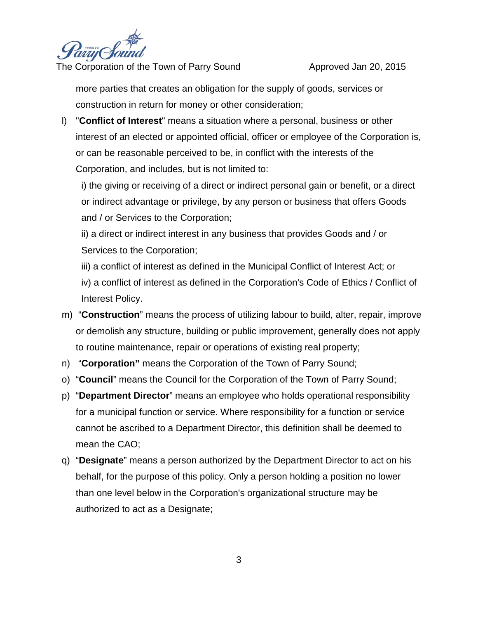

more parties that creates an obligation for the supply of goods, services or construction in return for money or other consideration;

l) "**Conflict of Interest**" means a situation where a personal, business or other interest of an elected or appointed official, officer or employee of the Corporation is, or can be reasonable perceived to be, in conflict with the interests of the Corporation, and includes, but is not limited to:

i) the giving or receiving of a direct or indirect personal gain or benefit, or a direct or indirect advantage or privilege, by any person or business that offers Goods and / or Services to the Corporation;

ii) a direct or indirect interest in any business that provides Goods and / or Services to the Corporation;

iii) a conflict of interest as defined in the Municipal Conflict of Interest Act; or iv) a conflict of interest as defined in the Corporation's Code of Ethics / Conflict of Interest Policy.

- m) "**Construction**" means the process of utilizing labour to build, alter, repair, improve or demolish any structure, building or public improvement, generally does not apply to routine maintenance, repair or operations of existing real property;
- n) "**Corporation"** means the Corporation of the Town of Parry Sound;
- o) "**Council**" means the Council for the Corporation of the Town of Parry Sound;
- p) "**Department Director**" means an employee who holds operational responsibility for a municipal function or service. Where responsibility for a function or service cannot be ascribed to a Department Director, this definition shall be deemed to mean the CAO;
- q) "**Designate**" means a person authorized by the Department Director to act on his behalf, for the purpose of this policy. Only a person holding a position no lower than one level below in the Corporation's organizational structure may be authorized to act as a Designate;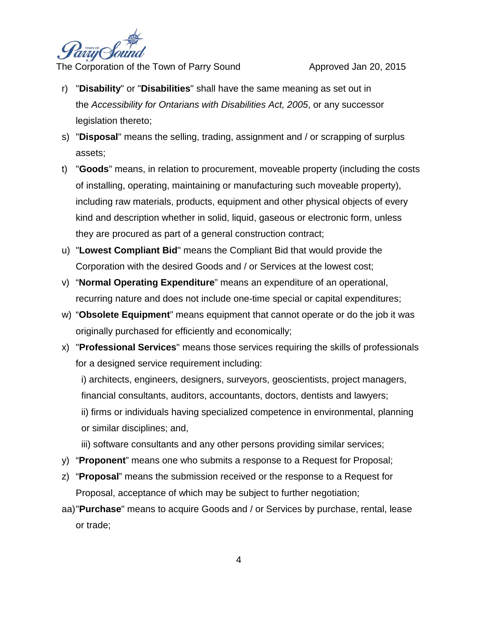

- r) "**Disability**" or "**Disabilities**" shall have the same meaning as set out in the *Accessibility for Ontarians with Disabilities Act, 2005*, or any successor legislation thereto;
- s) "**Disposal**" means the selling, trading, assignment and / or scrapping of surplus assets;
- t) "**Goods**" means, in relation to procurement, moveable property (including the costs of installing, operating, maintaining or manufacturing such moveable property), including raw materials, products, equipment and other physical objects of every kind and description whether in solid, liquid, gaseous or electronic form, unless they are procured as part of a general construction contract;
- u) "**Lowest Compliant Bid**" means the Compliant Bid that would provide the Corporation with the desired Goods and / or Services at the lowest cost;
- v) "**Normal Operating Expenditure**" means an expenditure of an operational, recurring nature and does not include one-time special or capital expenditures;
- w) "**Obsolete Equipment**" means equipment that cannot operate or do the job it was originally purchased for efficiently and economically;
- x) "**Professional Services**" means those services requiring the skills of professionals for a designed service requirement including:

i) architects, engineers, designers, surveyors, geoscientists, project managers, financial consultants, auditors, accountants, doctors, dentists and lawyers; ii) firms or individuals having specialized competence in environmental, planning or similar disciplines; and,

- iii) software consultants and any other persons providing similar services;
- y) "**Proponent**" means one who submits a response to a Request for Proposal;
- z) "**Proposal**" means the submission received or the response to a Request for Proposal, acceptance of which may be subject to further negotiation;
- aa)"**Purchase**" means to acquire Goods and / or Services by purchase, rental, lease or trade;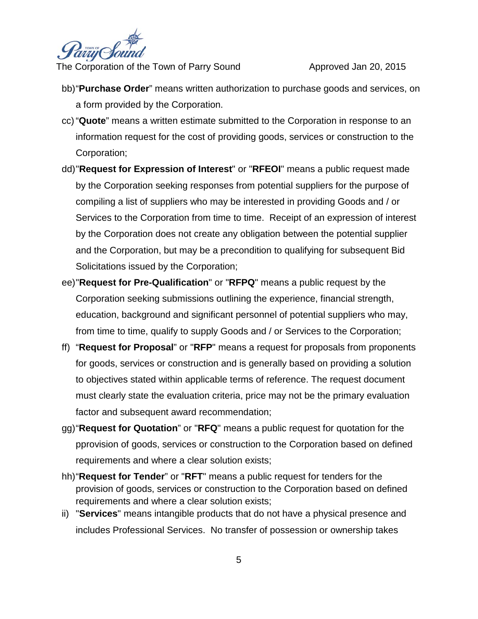

- bb)"**Purchase Order**" means written authorization to purchase goods and services, on a form provided by the Corporation.
- cc) "**Quote**" means a written estimate submitted to the Corporation in response to an information request for the cost of providing goods, services or construction to the Corporation;
- dd)"**Request for Expression of Interest**" or "**RFEOI**" means a public request made by the Corporation seeking responses from potential suppliers for the purpose of compiling a list of suppliers who may be interested in providing Goods and / or Services to the Corporation from time to time. Receipt of an expression of interest by the Corporation does not create any obligation between the potential supplier and the Corporation, but may be a precondition to qualifying for subsequent Bid Solicitations issued by the Corporation;
- ee)"**Request for Pre-Qualification**" or "**RFPQ**" means a public request by the Corporation seeking submissions outlining the experience, financial strength, education, background and significant personnel of potential suppliers who may, from time to time, qualify to supply Goods and / or Services to the Corporation;
- ff) "**Request for Proposal**" or "**RFP**" means a request for proposals from proponents for goods, services or construction and is generally based on providing a solution to objectives stated within applicable terms of reference. The request document must clearly state the evaluation criteria, price may not be the primary evaluation factor and subsequent award recommendation;
- gg)"**Request for Quotation**" or "**RFQ**" means a public request for quotation for the pprovision of goods, services or construction to the Corporation based on defined requirements and where a clear solution exists;
- hh)"**Request for Tender**" or "**RFT**" means a public request for tenders for the provision of goods, services or construction to the Corporation based on defined requirements and where a clear solution exists;
- ii) "**Services**" means intangible products that do not have a physical presence and includes Professional Services. No transfer of possession or ownership takes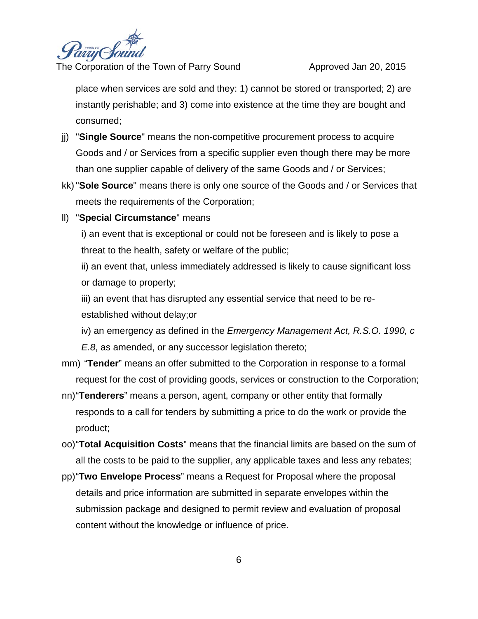

place when services are sold and they: 1) cannot be stored or transported; 2) are instantly perishable; and 3) come into existence at the time they are bought and consumed;

- jj) "**Single Source**" means the non-competitive procurement process to acquire Goods and / or Services from a specific supplier even though there may be more than one supplier capable of delivery of the same Goods and / or Services;
- kk)"**Sole Source**" means there is only one source of the Goods and / or Services that meets the requirements of the Corporation;

#### ll) "**Special Circumstance**" means

i) an event that is exceptional or could not be foreseen and is likely to pose a threat to the health, safety or welfare of the public;

ii) an event that, unless immediately addressed is likely to cause significant loss or damage to property;

iii) an event that has disrupted any essential service that need to be reestablished without delay;or

iv) an emergency as defined in the *Emergency Management Act, R.S.O. 1990, c E.8*, as amended, or any successor legislation thereto;

- mm) "**Tender**" means an offer submitted to the Corporation in response to a formal request for the cost of providing goods, services or construction to the Corporation;
- nn)"**Tenderers**" means a person, agent, company or other entity that formally responds to a call for tenders by submitting a price to do the work or provide the product;
- oo)"**Total Acquisition Costs**" means that the financial limits are based on the sum of all the costs to be paid to the supplier, any applicable taxes and less any rebates;
- pp)"**Two Envelope Process**" means a Request for Proposal where the proposal details and price information are submitted in separate envelopes within the submission package and designed to permit review and evaluation of proposal content without the knowledge or influence of price.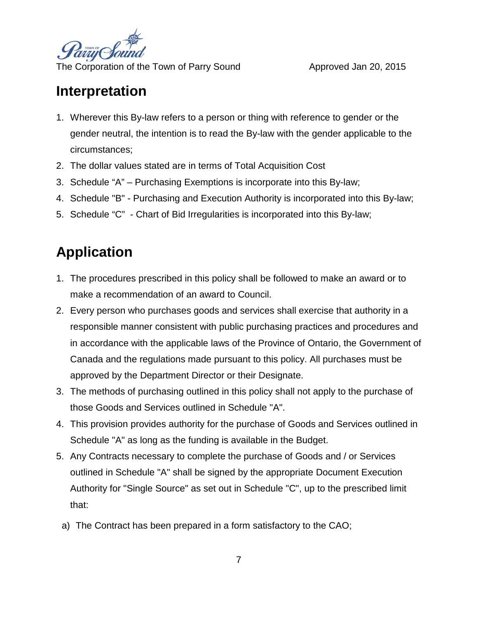

### **Interpretation**

- 1. Wherever this By-law refers to a person or thing with reference to gender or the gender neutral, the intention is to read the By-law with the gender applicable to the circumstances;
- 2. The dollar values stated are in terms of Total Acquisition Cost
- 3. Schedule "A" Purchasing Exemptions is incorporate into this By-law;
- 4. Schedule "B" Purchasing and Execution Authority is incorporated into this By-law;
- 5. Schedule "C" Chart of Bid Irregularities is incorporated into this By-law;

# **Application**

- 1. The procedures prescribed in this policy shall be followed to make an award or to make a recommendation of an award to Council.
- 2. Every person who purchases goods and services shall exercise that authority in a responsible manner consistent with public purchasing practices and procedures and in accordance with the applicable laws of the Province of Ontario, the Government of Canada and the regulations made pursuant to this policy. All purchases must be approved by the Department Director or their Designate.
- 3. The methods of purchasing outlined in this policy shall not apply to the purchase of those Goods and Services outlined in Schedule "A".
- 4. This provision provides authority for the purchase of Goods and Services outlined in Schedule "A" as long as the funding is available in the Budget.
- 5. Any Contracts necessary to complete the purchase of Goods and / or Services outlined in Schedule "A" shall be signed by the appropriate Document Execution Authority for "Single Source" as set out in Schedule "C", up to the prescribed limit that:
	- a) The Contract has been prepared in a form satisfactory to the CAO;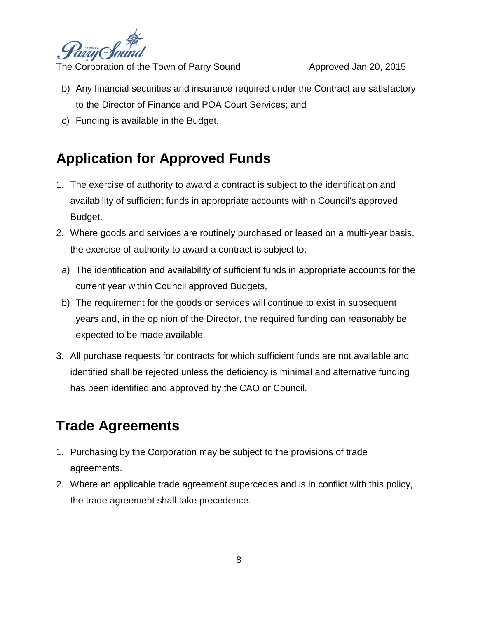

- b) Any financial securities and insurance required under the Contract are satisfactory to the Director of Finance and POA Court Services; and
- c) Funding is available in the Budget.

## **Application for Approved Funds**

- 1. The exercise of authority to award a contract is subject to the identification and availability of sufficient funds in appropriate accounts within Council's approved Budget.
- 2. Where goods and services are routinely purchased or leased on a multi-year basis, the exercise of authority to award a contract is subject to:
	- a) The identification and availability of sufficient funds in appropriate accounts for the current year within Council approved Budgets,
	- b) The requirement for the goods or services will continue to exist in subsequent years and, in the opinion of the Director, the required funding can reasonably be expected to be made available.
- 3. All purchase requests for contracts for which sufficient funds are not available and identified shall be rejected unless the deficiency is minimal and alternative funding has been identified and approved by the CAO or Council.

## **Trade Agreements**

- 1. Purchasing by the Corporation may be subject to the provisions of trade agreements.
- 2. Where an applicable trade agreement supercedes and is in conflict with this policy, the trade agreement shall take precedence.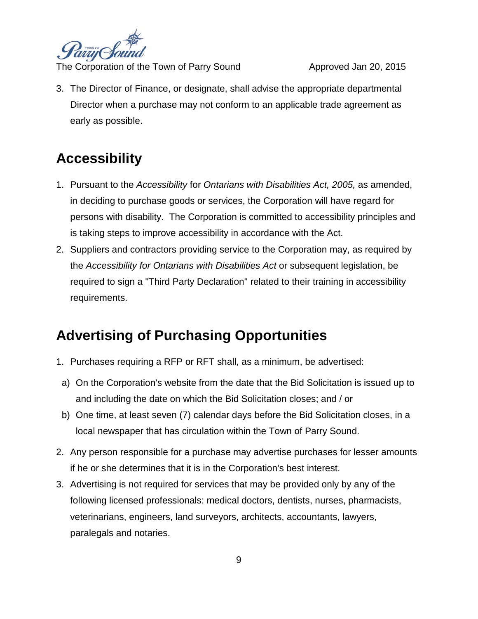

3. The Director of Finance, or designate, shall advise the appropriate departmental Director when a purchase may not conform to an applicable trade agreement as early as possible.

## **Accessibility**

- 1. Pursuant to the *Accessibility* for *Ontarians with Disabilities Act, 2005,* as amended, in deciding to purchase goods or services, the Corporation will have regard for persons with disability. The Corporation is committed to accessibility principles and is taking steps to improve accessibility in accordance with the Act.
- 2. Suppliers and contractors providing service to the Corporation may, as required by the *Accessibility for Ontarians with Disabilities Act* or subsequent legislation, be required to sign a "Third Party Declaration" related to their training in accessibility requirements.

# **Advertising of Purchasing Opportunities**

- 1. Purchases requiring a RFP or RFT shall, as a minimum, be advertised:
- a) On the Corporation's website from the date that the Bid Solicitation is issued up to and including the date on which the Bid Solicitation closes; and / or
- b) One time, at least seven (7) calendar days before the Bid Solicitation closes, in a local newspaper that has circulation within the Town of Parry Sound.
- 2. Any person responsible for a purchase may advertise purchases for lesser amounts if he or she determines that it is in the Corporation's best interest.
- 3. Advertising is not required for services that may be provided only by any of the following licensed professionals: medical doctors, dentists, nurses, pharmacists, veterinarians, engineers, land surveyors, architects, accountants, lawyers, paralegals and notaries.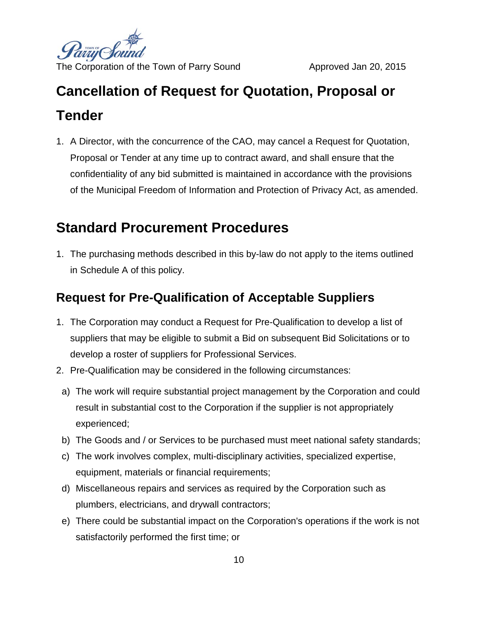

# **Cancellation of Request for Quotation, Proposal or Tender**

1. A Director, with the concurrence of the CAO, may cancel a Request for Quotation, Proposal or Tender at any time up to contract award, and shall ensure that the confidentiality of any bid submitted is maintained in accordance with the provisions of the Municipal Freedom of Information and Protection of Privacy Act, as amended.

# **Standard Procurement Procedures**

1. The purchasing methods described in this by-law do not apply to the items outlined in Schedule A of this policy.

### **Request for Pre-Qualification of Acceptable Suppliers**

- 1. The Corporation may conduct a Request for Pre-Qualification to develop a list of suppliers that may be eligible to submit a Bid on subsequent Bid Solicitations or to develop a roster of suppliers for Professional Services.
- 2. Pre-Qualification may be considered in the following circumstances:
	- a) The work will require substantial project management by the Corporation and could result in substantial cost to the Corporation if the supplier is not appropriately experienced;
	- b) The Goods and / or Services to be purchased must meet national safety standards;
	- c) The work involves complex, multi-disciplinary activities, specialized expertise, equipment, materials or financial requirements;
	- d) Miscellaneous repairs and services as required by the Corporation such as plumbers, electricians, and drywall contractors;
	- e) There could be substantial impact on the Corporation's operations if the work is not satisfactorily performed the first time; or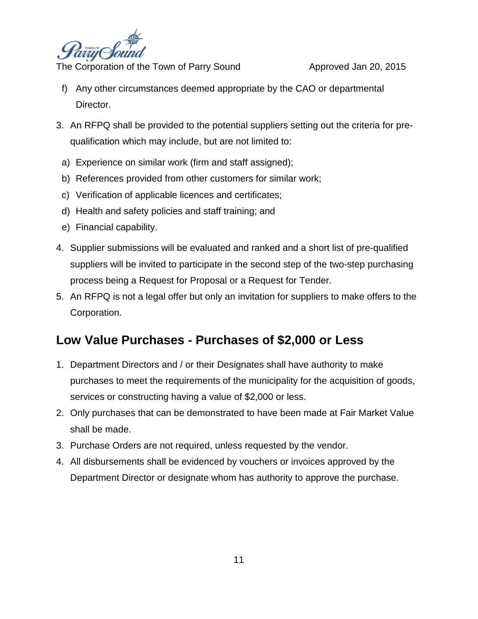

- f) Any other circumstances deemed appropriate by the CAO or departmental Director.
- 3. An RFPQ shall be provided to the potential suppliers setting out the criteria for prequalification which may include, but are not limited to:
	- a) Experience on similar work (firm and staff assigned);
	- b) References provided from other customers for similar work;
	- c) Verification of applicable licences and certificates;
	- d) Health and safety policies and staff training; and
	- e) Financial capability.
- 4. Supplier submissions will be evaluated and ranked and a short list of pre-qualified suppliers will be invited to participate in the second step of the two-step purchasing process being a Request for Proposal or a Request for Tender.
- 5. An RFPQ is not a legal offer but only an invitation for suppliers to make offers to the Corporation.

### **Low Value Purchases - Purchases of \$2,000 or Less**

- 1. Department Directors and / or their Designates shall have authority to make purchases to meet the requirements of the municipality for the acquisition of goods, services or constructing having a value of \$2,000 or less.
- 2. Only purchases that can be demonstrated to have been made at Fair Market Value shall be made.
- 3. Purchase Orders are not required, unless requested by the vendor.
- 4. All disbursements shall be evidenced by vouchers or invoices approved by the Department Director or designate whom has authority to approve the purchase.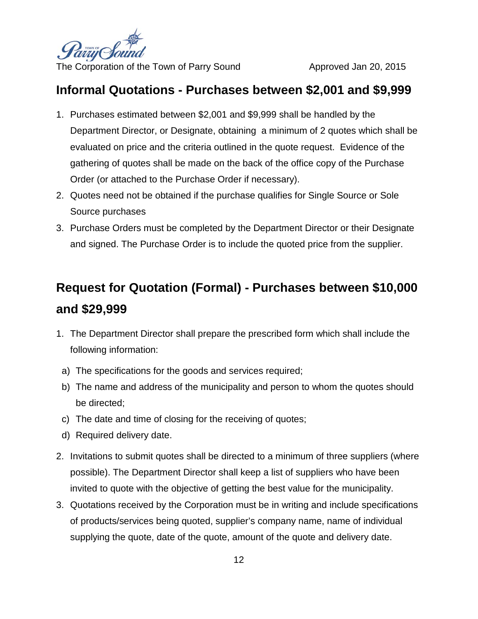

#### **Informal Quotations - Purchases between \$2,001 and \$9,999**

- 1. Purchases estimated between \$2,001 and \$9,999 shall be handled by the Department Director, or Designate, obtaining a minimum of 2 quotes which shall be evaluated on price and the criteria outlined in the quote request. Evidence of the gathering of quotes shall be made on the back of the office copy of the Purchase Order (or attached to the Purchase Order if necessary).
- 2. Quotes need not be obtained if the purchase qualifies for Single Source or Sole Source purchases
- 3. Purchase Orders must be completed by the Department Director or their Designate and signed. The Purchase Order is to include the quoted price from the supplier.

# **Request for Quotation (Formal) - Purchases between \$10,000 and \$29,999**

- 1. The Department Director shall prepare the prescribed form which shall include the following information:
	- a) The specifications for the goods and services required;
- b) The name and address of the municipality and person to whom the quotes should be directed;
- c) The date and time of closing for the receiving of quotes;
- d) Required delivery date.
- 2. Invitations to submit quotes shall be directed to a minimum of three suppliers (where possible). The Department Director shall keep a list of suppliers who have been invited to quote with the objective of getting the best value for the municipality.
- 3. Quotations received by the Corporation must be in writing and include specifications of products/services being quoted, supplier's company name, name of individual supplying the quote, date of the quote, amount of the quote and delivery date.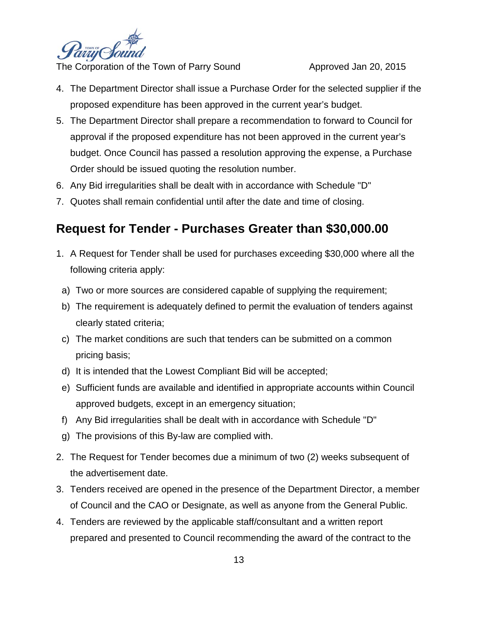

- 4. The Department Director shall issue a Purchase Order for the selected supplier if the proposed expenditure has been approved in the current year's budget.
- 5. The Department Director shall prepare a recommendation to forward to Council for approval if the proposed expenditure has not been approved in the current year's budget. Once Council has passed a resolution approving the expense, a Purchase Order should be issued quoting the resolution number.
- 6. Any Bid irregularities shall be dealt with in accordance with Schedule "D"
- 7. Quotes shall remain confidential until after the date and time of closing.

### **Request for Tender - Purchases Greater than \$30,000.00**

- 1. A Request for Tender shall be used for purchases exceeding \$30,000 where all the following criteria apply:
- a) Two or more sources are considered capable of supplying the requirement;
- b) The requirement is adequately defined to permit the evaluation of tenders against clearly stated criteria;
- c) The market conditions are such that tenders can be submitted on a common pricing basis;
- d) It is intended that the Lowest Compliant Bid will be accepted;
- e) Sufficient funds are available and identified in appropriate accounts within Council approved budgets, except in an emergency situation;
- f) Any Bid irregularities shall be dealt with in accordance with Schedule "D"
- g) The provisions of this By-law are complied with.
- 2. The Request for Tender becomes due a minimum of two (2) weeks subsequent of the advertisement date.
- 3. Tenders received are opened in the presence of the Department Director, a member of Council and the CAO or Designate, as well as anyone from the General Public.
- 4. Tenders are reviewed by the applicable staff/consultant and a written report prepared and presented to Council recommending the award of the contract to the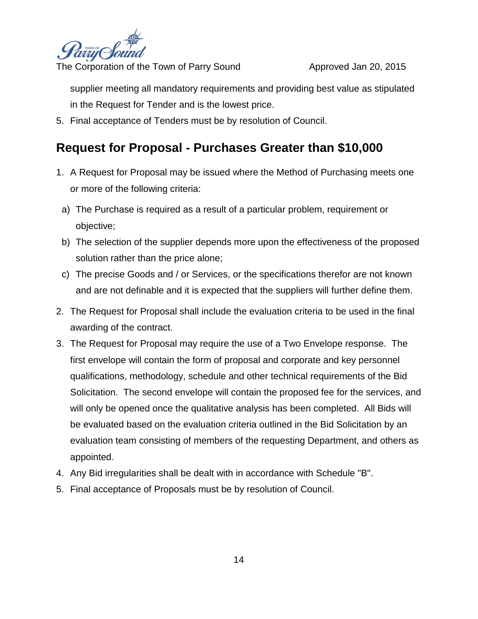

supplier meeting all mandatory requirements and providing best value as stipulated in the Request for Tender and is the lowest price.

5. Final acceptance of Tenders must be by resolution of Council.

### **Request for Proposal - Purchases Greater than \$10,000**

- 1. A Request for Proposal may be issued where the Method of Purchasing meets one or more of the following criteria:
- a) The Purchase is required as a result of a particular problem, requirement or objective;
- b) The selection of the supplier depends more upon the effectiveness of the proposed solution rather than the price alone;
- c) The precise Goods and / or Services, or the specifications therefor are not known and are not definable and it is expected that the suppliers will further define them.
- 2. The Request for Proposal shall include the evaluation criteria to be used in the final awarding of the contract.
- 3. The Request for Proposal may require the use of a Two Envelope response. The first envelope will contain the form of proposal and corporate and key personnel qualifications, methodology, schedule and other technical requirements of the Bid Solicitation. The second envelope will contain the proposed fee for the services, and will only be opened once the qualitative analysis has been completed. All Bids will be evaluated based on the evaluation criteria outlined in the Bid Solicitation by an evaluation team consisting of members of the requesting Department, and others as appointed.
- 4. Any Bid irregularities shall be dealt with in accordance with Schedule "B".
- 5. Final acceptance of Proposals must be by resolution of Council.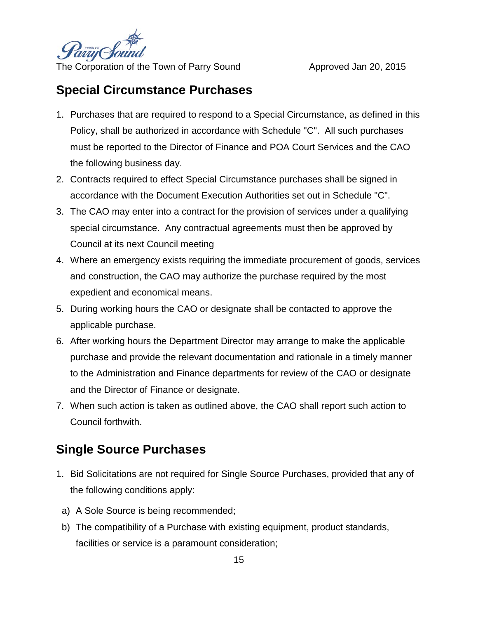

#### **Special Circumstance Purchases**

- 1. Purchases that are required to respond to a Special Circumstance, as defined in this Policy, shall be authorized in accordance with Schedule "C". All such purchases must be reported to the Director of Finance and POA Court Services and the CAO the following business day.
- 2. Contracts required to effect Special Circumstance purchases shall be signed in accordance with the Document Execution Authorities set out in Schedule "C".
- 3. The CAO may enter into a contract for the provision of services under a qualifying special circumstance. Any contractual agreements must then be approved by Council at its next Council meeting
- 4. Where an emergency exists requiring the immediate procurement of goods, services and construction, the CAO may authorize the purchase required by the most expedient and economical means.
- 5. During working hours the CAO or designate shall be contacted to approve the applicable purchase.
- 6. After working hours the Department Director may arrange to make the applicable purchase and provide the relevant documentation and rationale in a timely manner to the Administration and Finance departments for review of the CAO or designate and the Director of Finance or designate.
- 7. When such action is taken as outlined above, the CAO shall report such action to Council forthwith.

### **Single Source Purchases**

- 1. Bid Solicitations are not required for Single Source Purchases, provided that any of the following conditions apply:
	- a) A Sole Source is being recommended;
	- b) The compatibility of a Purchase with existing equipment, product standards, facilities or service is a paramount consideration;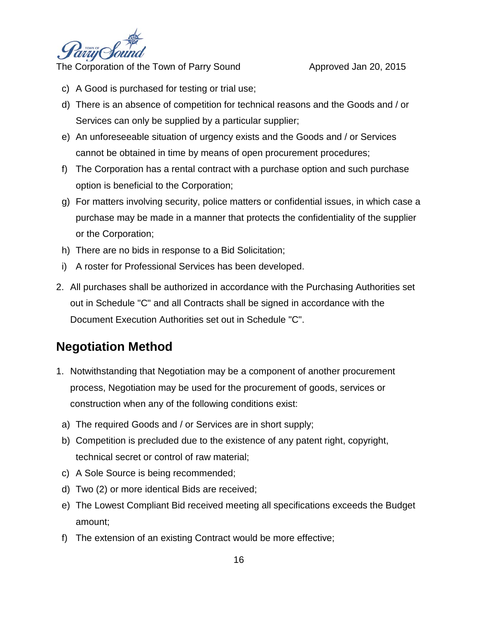

- c) A Good is purchased for testing or trial use;
- d) There is an absence of competition for technical reasons and the Goods and / or Services can only be supplied by a particular supplier;
- e) An unforeseeable situation of urgency exists and the Goods and / or Services cannot be obtained in time by means of open procurement procedures;
- f) The Corporation has a rental contract with a purchase option and such purchase option is beneficial to the Corporation;
- g) For matters involving security, police matters or confidential issues, in which case a purchase may be made in a manner that protects the confidentiality of the supplier or the Corporation;
- h) There are no bids in response to a Bid Solicitation;
- i) A roster for Professional Services has been developed.
- 2. All purchases shall be authorized in accordance with the Purchasing Authorities set out in Schedule "C" and all Contracts shall be signed in accordance with the Document Execution Authorities set out in Schedule "C".

#### **Negotiation Method**

- 1. Notwithstanding that Negotiation may be a component of another procurement process, Negotiation may be used for the procurement of goods, services or construction when any of the following conditions exist:
	- a) The required Goods and / or Services are in short supply;
	- b) Competition is precluded due to the existence of any patent right, copyright, technical secret or control of raw material;
	- c) A Sole Source is being recommended;
	- d) Two (2) or more identical Bids are received;
	- e) The Lowest Compliant Bid received meeting all specifications exceeds the Budget amount;
- f) The extension of an existing Contract would be more effective;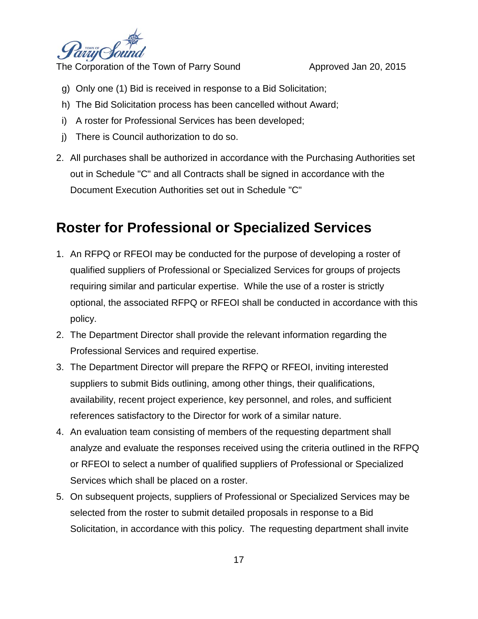

- g) Only one (1) Bid is received in response to a Bid Solicitation;
- h) The Bid Solicitation process has been cancelled without Award;
- i) A roster for Professional Services has been developed;
- j) There is Council authorization to do so.
- 2. All purchases shall be authorized in accordance with the Purchasing Authorities set out in Schedule "C" and all Contracts shall be signed in accordance with the Document Execution Authorities set out in Schedule "C"

### **Roster for Professional or Specialized Services**

- 1. An RFPQ or RFEOI may be conducted for the purpose of developing a roster of qualified suppliers of Professional or Specialized Services for groups of projects requiring similar and particular expertise. While the use of a roster is strictly optional, the associated RFPQ or RFEOI shall be conducted in accordance with this policy.
- 2. The Department Director shall provide the relevant information regarding the Professional Services and required expertise.
- 3. The Department Director will prepare the RFPQ or RFEOI, inviting interested suppliers to submit Bids outlining, among other things, their qualifications, availability, recent project experience, key personnel, and roles, and sufficient references satisfactory to the Director for work of a similar nature.
- 4. An evaluation team consisting of members of the requesting department shall analyze and evaluate the responses received using the criteria outlined in the RFPQ or RFEOI to select a number of qualified suppliers of Professional or Specialized Services which shall be placed on a roster.
- 5. On subsequent projects, suppliers of Professional or Specialized Services may be selected from the roster to submit detailed proposals in response to a Bid Solicitation, in accordance with this policy. The requesting department shall invite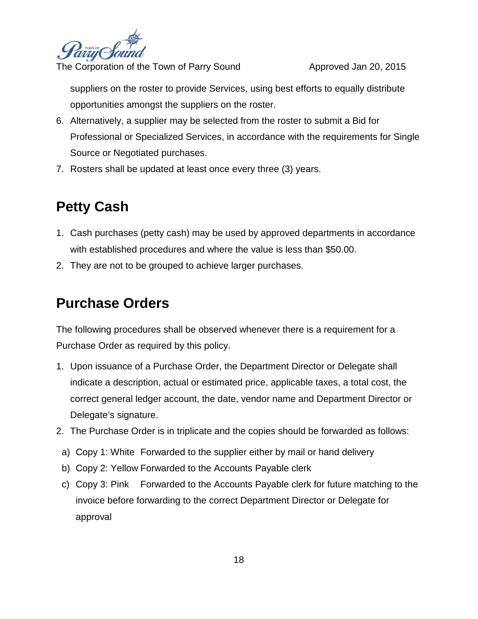

suppliers on the roster to provide Services, using best efforts to equally distribute opportunities amongst the suppliers on the roster.

- 6. Alternatively, a supplier may be selected from the roster to submit a Bid for Professional or Specialized Services, in accordance with the requirements for Single Source or Negotiated purchases.
- 7. Rosters shall be updated at least once every three (3) years.

# **Petty Cash**

- 1. Cash purchases (petty cash) may be used by approved departments in accordance with established procedures and where the value is less than \$50.00.
- 2. They are not to be grouped to achieve larger purchases.

### **Purchase Orders**

The following procedures shall be observed whenever there is a requirement for a Purchase Order as required by this policy.

- 1. Upon issuance of a Purchase Order, the Department Director or Delegate shall indicate a description, actual or estimated price, applicable taxes, a total cost, the correct general ledger account, the date, vendor name and Department Director or Delegate's signature.
- 2. The Purchase Order is in triplicate and the copies should be forwarded as follows:
	- a) Copy 1: White Forwarded to the supplier either by mail or hand delivery
	- b) Copy 2: Yellow Forwarded to the Accounts Payable clerk
	- c) Copy 3: Pink Forwarded to the Accounts Payable clerk for future matching to the invoice before forwarding to the correct Department Director or Delegate for approval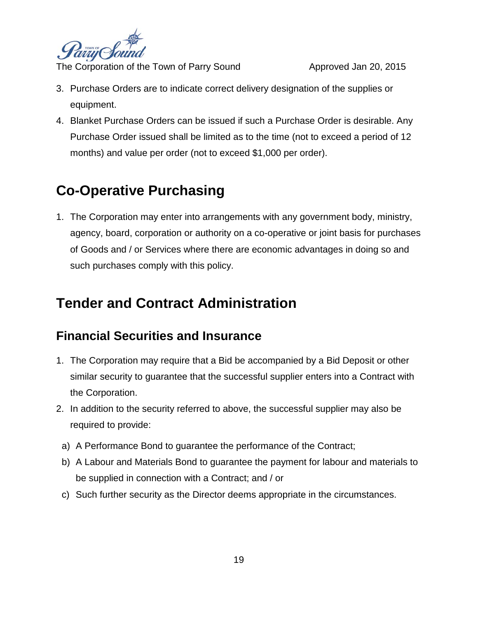

- 3. Purchase Orders are to indicate correct delivery designation of the supplies or equipment.
- 4. Blanket Purchase Orders can be issued if such a Purchase Order is desirable. Any Purchase Order issued shall be limited as to the time (not to exceed a period of 12 months) and value per order (not to exceed \$1,000 per order).

# **Co-Operative Purchasing**

1. The Corporation may enter into arrangements with any government body, ministry, agency, board, corporation or authority on a co-operative or joint basis for purchases of Goods and / or Services where there are economic advantages in doing so and such purchases comply with this policy.

### **Tender and Contract Administration**

### **Financial Securities and Insurance**

- 1. The Corporation may require that a Bid be accompanied by a Bid Deposit or other similar security to guarantee that the successful supplier enters into a Contract with the Corporation.
- 2. In addition to the security referred to above, the successful supplier may also be required to provide:
	- a) A Performance Bond to guarantee the performance of the Contract;
	- b) A Labour and Materials Bond to guarantee the payment for labour and materials to be supplied in connection with a Contract; and / or
	- c) Such further security as the Director deems appropriate in the circumstances.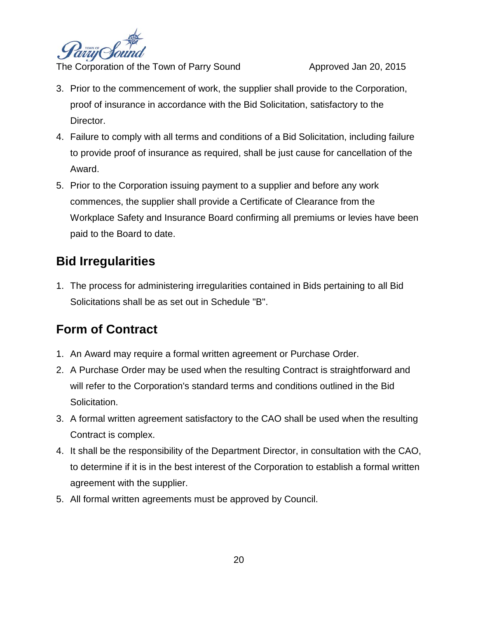

- 3. Prior to the commencement of work, the supplier shall provide to the Corporation, proof of insurance in accordance with the Bid Solicitation, satisfactory to the Director.
- 4. Failure to comply with all terms and conditions of a Bid Solicitation, including failure to provide proof of insurance as required, shall be just cause for cancellation of the Award.
- 5. Prior to the Corporation issuing payment to a supplier and before any work commences, the supplier shall provide a Certificate of Clearance from the Workplace Safety and Insurance Board confirming all premiums or levies have been paid to the Board to date.

### **Bid Irregularities**

1. The process for administering irregularities contained in Bids pertaining to all Bid Solicitations shall be as set out in Schedule "B".

### **Form of Contract**

- 1. An Award may require a formal written agreement or Purchase Order.
- 2. A Purchase Order may be used when the resulting Contract is straightforward and will refer to the Corporation's standard terms and conditions outlined in the Bid Solicitation.
- 3. A formal written agreement satisfactory to the CAO shall be used when the resulting Contract is complex.
- 4. It shall be the responsibility of the Department Director, in consultation with the CAO, to determine if it is in the best interest of the Corporation to establish a formal written agreement with the supplier.
- 5. All formal written agreements must be approved by Council.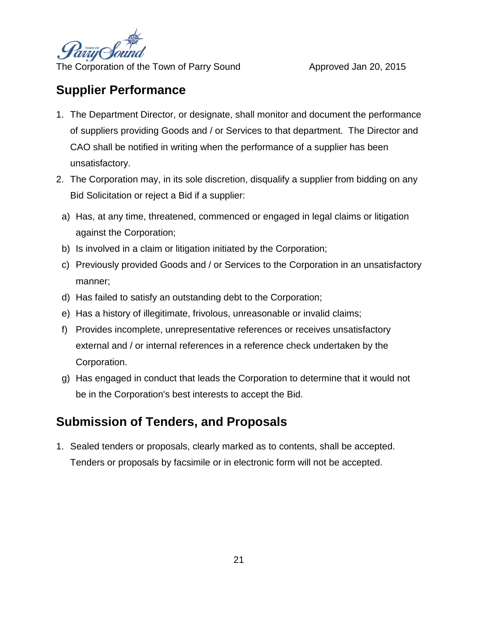

### **Supplier Performance**

- 1. The Department Director, or designate, shall monitor and document the performance of suppliers providing Goods and / or Services to that department. The Director and CAO shall be notified in writing when the performance of a supplier has been unsatisfactory.
- 2. The Corporation may, in its sole discretion, disqualify a supplier from bidding on any Bid Solicitation or reject a Bid if a supplier:
	- a) Has, at any time, threatened, commenced or engaged in legal claims or litigation against the Corporation;
	- b) Is involved in a claim or litigation initiated by the Corporation;
	- c) Previously provided Goods and / or Services to the Corporation in an unsatisfactory manner;
	- d) Has failed to satisfy an outstanding debt to the Corporation;
	- e) Has a history of illegitimate, frivolous, unreasonable or invalid claims;
	- f) Provides incomplete, unrepresentative references or receives unsatisfactory external and / or internal references in a reference check undertaken by the Corporation.
	- g) Has engaged in conduct that leads the Corporation to determine that it would not be in the Corporation's best interests to accept the Bid.

### **Submission of Tenders, and Proposals**

1. Sealed tenders or proposals, clearly marked as to contents, shall be accepted. Tenders or proposals by facsimile or in electronic form will not be accepted.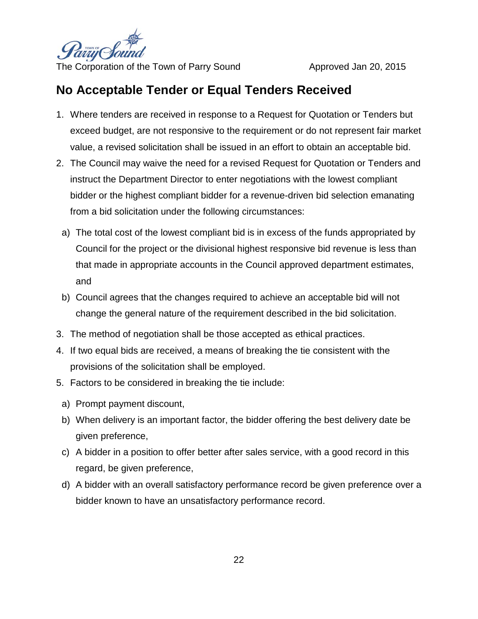

### **No Acceptable Tender or Equal Tenders Received**

- 1. Where tenders are received in response to a Request for Quotation or Tenders but exceed budget, are not responsive to the requirement or do not represent fair market value, a revised solicitation shall be issued in an effort to obtain an acceptable bid.
- 2. The Council may waive the need for a revised Request for Quotation or Tenders and instruct the Department Director to enter negotiations with the lowest compliant bidder or the highest compliant bidder for a revenue-driven bid selection emanating from a bid solicitation under the following circumstances:
	- a) The total cost of the lowest compliant bid is in excess of the funds appropriated by Council for the project or the divisional highest responsive bid revenue is less than that made in appropriate accounts in the Council approved department estimates, and
- b) Council agrees that the changes required to achieve an acceptable bid will not change the general nature of the requirement described in the bid solicitation.
- 3. The method of negotiation shall be those accepted as ethical practices.
- 4. If two equal bids are received, a means of breaking the tie consistent with the provisions of the solicitation shall be employed.
- 5. Factors to be considered in breaking the tie include:
	- a) Prompt payment discount,
	- b) When delivery is an important factor, the bidder offering the best delivery date be given preference,
	- c) A bidder in a position to offer better after sales service, with a good record in this regard, be given preference,
	- d) A bidder with an overall satisfactory performance record be given preference over a bidder known to have an unsatisfactory performance record.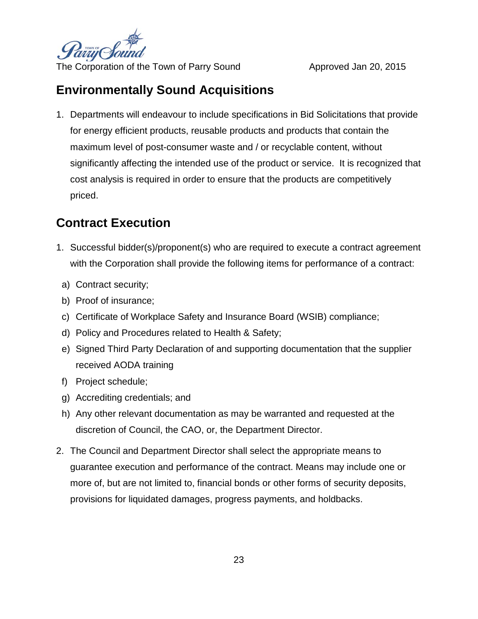

### **Environmentally Sound Acquisitions**

1. Departments will endeavour to include specifications in Bid Solicitations that provide for energy efficient products, reusable products and products that contain the maximum level of post-consumer waste and / or recyclable content, without significantly affecting the intended use of the product or service. It is recognized that cost analysis is required in order to ensure that the products are competitively priced.

### **Contract Execution**

- 1. Successful bidder(s)/proponent(s) who are required to execute a contract agreement with the Corporation shall provide the following items for performance of a contract:
	- a) Contract security;
- b) Proof of insurance;
- c) Certificate of Workplace Safety and Insurance Board (WSIB) compliance;
- d) Policy and Procedures related to Health & Safety;
- e) Signed Third Party Declaration of and supporting documentation that the supplier received AODA training
- f) Project schedule;
- g) Accrediting credentials; and
- h) Any other relevant documentation as may be warranted and requested at the discretion of Council, the CAO, or, the Department Director.
- 2. The Council and Department Director shall select the appropriate means to guarantee execution and performance of the contract. Means may include one or more of, but are not limited to, financial bonds or other forms of security deposits, provisions for liquidated damages, progress payments, and holdbacks.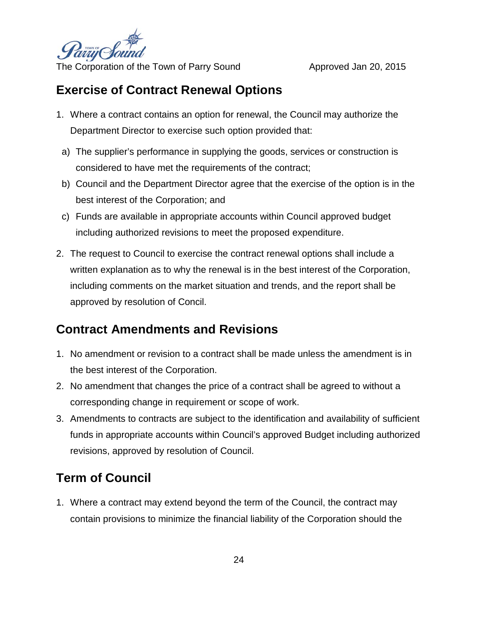

### **Exercise of Contract Renewal Options**

- 1. Where a contract contains an option for renewal, the Council may authorize the Department Director to exercise such option provided that:
- a) The supplier's performance in supplying the goods, services or construction is considered to have met the requirements of the contract;
- b) Council and the Department Director agree that the exercise of the option is in the best interest of the Corporation; and
- c) Funds are available in appropriate accounts within Council approved budget including authorized revisions to meet the proposed expenditure.
- 2. The request to Council to exercise the contract renewal options shall include a written explanation as to why the renewal is in the best interest of the Corporation, including comments on the market situation and trends, and the report shall be approved by resolution of Concil.

### **Contract Amendments and Revisions**

- 1. No amendment or revision to a contract shall be made unless the amendment is in the best interest of the Corporation.
- 2. No amendment that changes the price of a contract shall be agreed to without a corresponding change in requirement or scope of work.
- 3. Amendments to contracts are subject to the identification and availability of sufficient funds in appropriate accounts within Council's approved Budget including authorized revisions, approved by resolution of Council.

### **Term of Council**

1. Where a contract may extend beyond the term of the Council, the contract may contain provisions to minimize the financial liability of the Corporation should the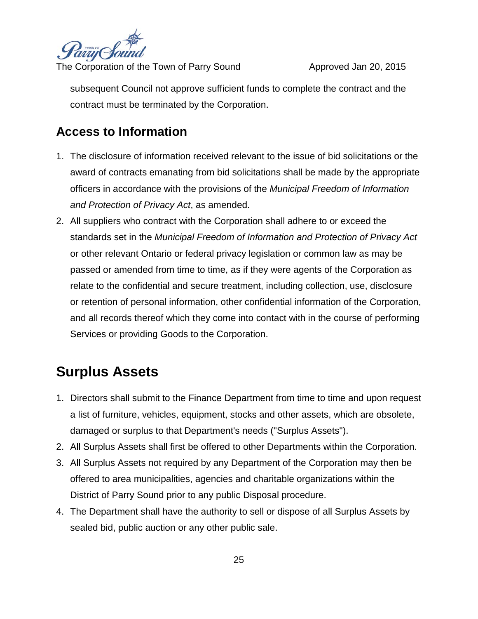

subsequent Council not approve sufficient funds to complete the contract and the contract must be terminated by the Corporation.

### **Access to Information**

- 1. The disclosure of information received relevant to the issue of bid solicitations or the award of contracts emanating from bid solicitations shall be made by the appropriate officers in accordance with the provisions of the *Municipal Freedom of Information and Protection of Privacy Act*, as amended.
- 2. All suppliers who contract with the Corporation shall adhere to or exceed the standards set in the *Municipal Freedom of Information and Protection of Privacy Act* or other relevant Ontario or federal privacy legislation or common law as may be passed or amended from time to time, as if they were agents of the Corporation as relate to the confidential and secure treatment, including collection, use, disclosure or retention of personal information, other confidential information of the Corporation, and all records thereof which they come into contact with in the course of performing Services or providing Goods to the Corporation.

### **Surplus Assets**

- 1. Directors shall submit to the Finance Department from time to time and upon request a list of furniture, vehicles, equipment, stocks and other assets, which are obsolete, damaged or surplus to that Department's needs ("Surplus Assets").
- 2. All Surplus Assets shall first be offered to other Departments within the Corporation.
- 3. All Surplus Assets not required by any Department of the Corporation may then be offered to area municipalities, agencies and charitable organizations within the District of Parry Sound prior to any public Disposal procedure.
- 4. The Department shall have the authority to sell or dispose of all Surplus Assets by sealed bid, public auction or any other public sale.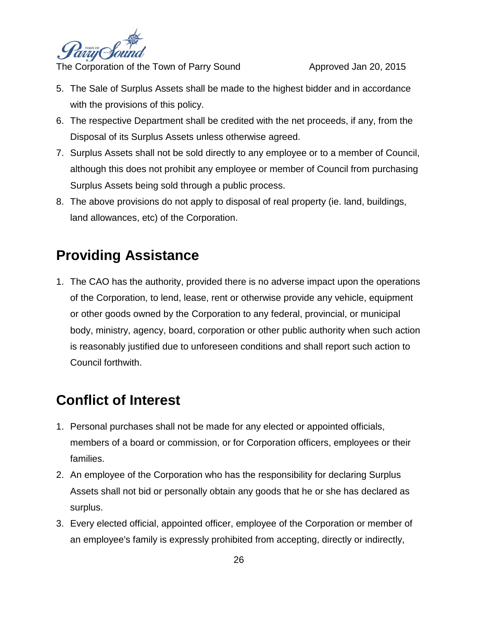

- 5. The Sale of Surplus Assets shall be made to the highest bidder and in accordance with the provisions of this policy.
- 6. The respective Department shall be credited with the net proceeds, if any, from the Disposal of its Surplus Assets unless otherwise agreed.
- 7. Surplus Assets shall not be sold directly to any employee or to a member of Council, although this does not prohibit any employee or member of Council from purchasing Surplus Assets being sold through a public process.
- 8. The above provisions do not apply to disposal of real property (ie. land, buildings, land allowances, etc) of the Corporation.

## **Providing Assistance**

1. The CAO has the authority, provided there is no adverse impact upon the operations of the Corporation, to lend, lease, rent or otherwise provide any vehicle, equipment or other goods owned by the Corporation to any federal, provincial, or municipal body, ministry, agency, board, corporation or other public authority when such action is reasonably justified due to unforeseen conditions and shall report such action to Council forthwith.

### **Conflict of Interest**

- 1. Personal purchases shall not be made for any elected or appointed officials, members of a board or commission, or for Corporation officers, employees or their families.
- 2. An employee of the Corporation who has the responsibility for declaring Surplus Assets shall not bid or personally obtain any goods that he or she has declared as surplus.
- 3. Every elected official, appointed officer, employee of the Corporation or member of an employee's family is expressly prohibited from accepting, directly or indirectly,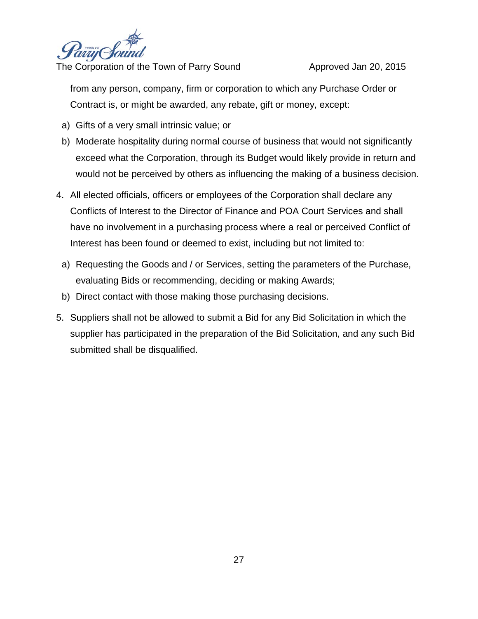

from any person, company, firm or corporation to which any Purchase Order or Contract is, or might be awarded, any rebate, gift or money, except:

- a) Gifts of a very small intrinsic value; or
- b) Moderate hospitality during normal course of business that would not significantly exceed what the Corporation, through its Budget would likely provide in return and would not be perceived by others as influencing the making of a business decision.
- 4. All elected officials, officers or employees of the Corporation shall declare any Conflicts of Interest to the Director of Finance and POA Court Services and shall have no involvement in a purchasing process where a real or perceived Conflict of Interest has been found or deemed to exist, including but not limited to:
	- a) Requesting the Goods and / or Services, setting the parameters of the Purchase, evaluating Bids or recommending, deciding or making Awards;
	- b) Direct contact with those making those purchasing decisions.
- 5. Suppliers shall not be allowed to submit a Bid for any Bid Solicitation in which the supplier has participated in the preparation of the Bid Solicitation, and any such Bid submitted shall be disqualified.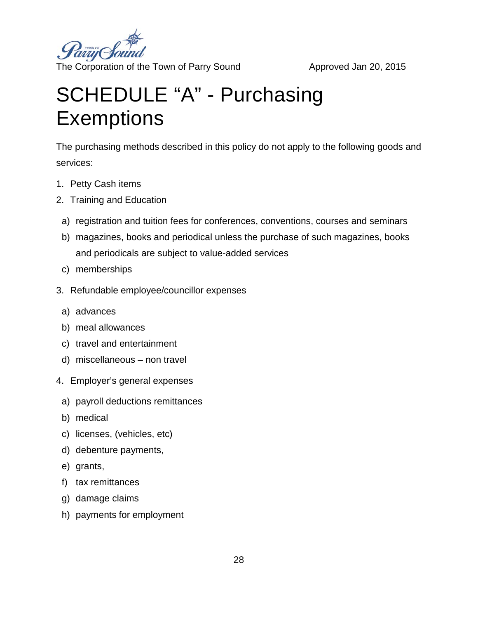

# SCHEDULE "A" - Purchasing **Exemptions**

The purchasing methods described in this policy do not apply to the following goods and services:

- 1. Petty Cash items
- 2. Training and Education
	- a) registration and tuition fees for conferences, conventions, courses and seminars
	- b) magazines, books and periodical unless the purchase of such magazines, books and periodicals are subject to value-added services
	- c) memberships
- 3. Refundable employee/councillor expenses
	- a) advances
	- b) meal allowances
	- c) travel and entertainment
	- d) miscellaneous non travel
- 4. Employer's general expenses
	- a) payroll deductions remittances
	- b) medical
	- c) licenses, (vehicles, etc)
	- d) debenture payments,
	- e) grants,
	- f) tax remittances
	- g) damage claims
	- h) payments for employment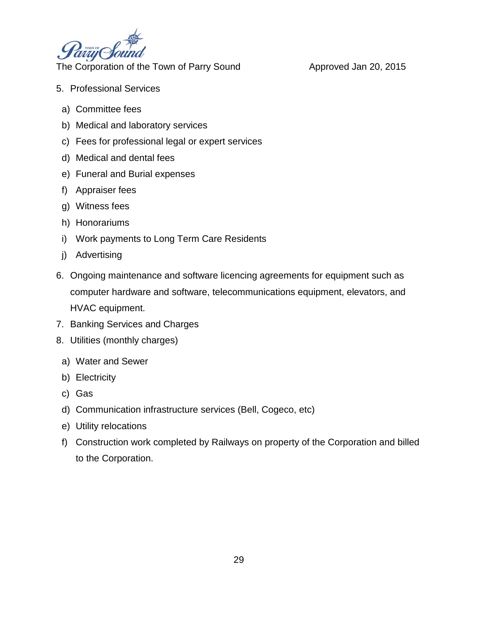

- 5. Professional Services
	- a) Committee fees
	- b) Medical and laboratory services
	- c) Fees for professional legal or expert services
	- d) Medical and dental fees
	- e) Funeral and Burial expenses
	- f) Appraiser fees
	- g) Witness fees
	- h) Honorariums
	- i) Work payments to Long Term Care Residents
	- j) Advertising
- 6. Ongoing maintenance and software licencing agreements for equipment such as computer hardware and software, telecommunications equipment, elevators, and HVAC equipment.
- 7. Banking Services and Charges
- 8. Utilities (monthly charges)
	- a) Water and Sewer
	- b) Electricity
	- c) Gas
	- d) Communication infrastructure services (Bell, Cogeco, etc)
	- e) Utility relocations
- f) Construction work completed by Railways on property of the Corporation and billed to the Corporation.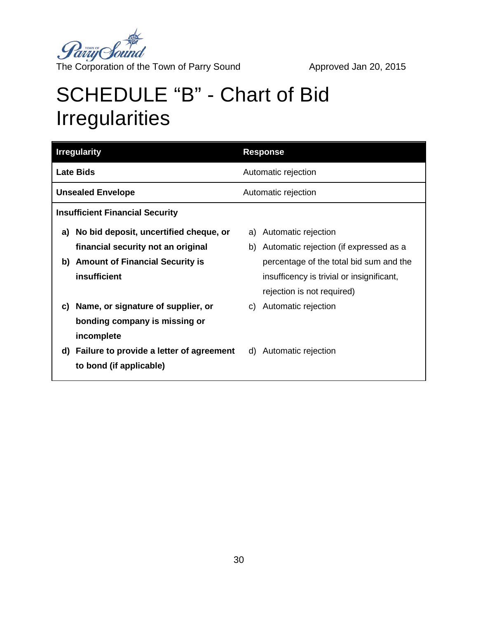

# SCHEDULE "B" - Chart of Bid Irregularities

| <b>Irregularity</b>                    |                                          | <b>Response</b>     |                                           |  |
|----------------------------------------|------------------------------------------|---------------------|-------------------------------------------|--|
| <b>Late Bids</b>                       |                                          | Automatic rejection |                                           |  |
| <b>Unsealed Envelope</b>               |                                          | Automatic rejection |                                           |  |
| <b>Insufficient Financial Security</b> |                                          |                     |                                           |  |
| a)                                     | No bid deposit, uncertified cheque, or   |                     | a) Automatic rejection                    |  |
|                                        | financial security not an original       |                     | b) Automatic rejection (if expressed as a |  |
|                                        | b) Amount of Financial Security is       |                     | percentage of the total bid sum and the   |  |
|                                        | insufficient                             |                     | insufficency is trivial or insignificant, |  |
|                                        |                                          |                     | rejection is not required)                |  |
| C)                                     | Name, or signature of supplier, or       |                     | c) Automatic rejection                    |  |
|                                        | bonding company is missing or            |                     |                                           |  |
|                                        | incomplete                               |                     |                                           |  |
| d)                                     | Failure to provide a letter of agreement | d)                  | Automatic rejection                       |  |
|                                        | to bond (if applicable)                  |                     |                                           |  |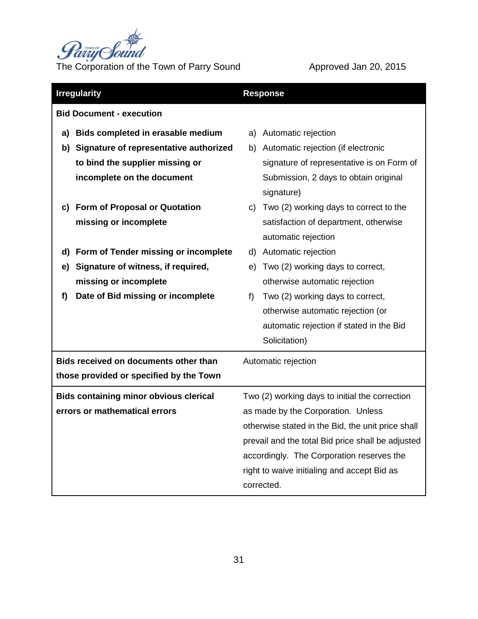

| <b>Irregularity</b>             |                                               | <b>Response</b>                                   |                                           |  |
|---------------------------------|-----------------------------------------------|---------------------------------------------------|-------------------------------------------|--|
| <b>Bid Document - execution</b> |                                               |                                                   |                                           |  |
| a)                              | Bids completed in erasable medium             | a)                                                | Automatic rejection                       |  |
| b)                              | Signature of representative authorized        | b)                                                | Automatic rejection (if electronic        |  |
|                                 | to bind the supplier missing or               |                                                   | signature of representative is on Form of |  |
|                                 | incomplete on the document                    |                                                   | Submission, 2 days to obtain original     |  |
|                                 |                                               |                                                   | signature)                                |  |
| C)                              | <b>Form of Proposal or Quotation</b>          | C)                                                | Two (2) working days to correct to the    |  |
|                                 | missing or incomplete                         |                                                   | satisfaction of department, otherwise     |  |
|                                 |                                               |                                                   | automatic rejection                       |  |
| d)                              | Form of Tender missing or incomplete          | d)                                                | Automatic rejection                       |  |
| e)                              | Signature of witness, if required,            | e)                                                | Two (2) working days to correct,          |  |
|                                 | missing or incomplete                         |                                                   | otherwise automatic rejection             |  |
| f)                              | Date of Bid missing or incomplete             | f)                                                | Two (2) working days to correct,          |  |
|                                 |                                               |                                                   | otherwise automatic rejection (or         |  |
|                                 |                                               |                                                   | automatic rejection if stated in the Bid  |  |
|                                 |                                               |                                                   | Solicitation)                             |  |
|                                 | Bids received on documents other than         | Automatic rejection                               |                                           |  |
|                                 | those provided or specified by the Town       |                                                   |                                           |  |
|                                 | <b>Bids containing minor obvious clerical</b> | Two (2) working days to initial the correction    |                                           |  |
|                                 | errors or mathematical errors                 | as made by the Corporation. Unless                |                                           |  |
|                                 |                                               | otherwise stated in the Bid, the unit price shall |                                           |  |
|                                 |                                               | prevail and the total Bid price shall be adjusted |                                           |  |
|                                 |                                               | accordingly. The Corporation reserves the         |                                           |  |
|                                 |                                               | right to waive initialing and accept Bid as       |                                           |  |
|                                 |                                               | corrected.                                        |                                           |  |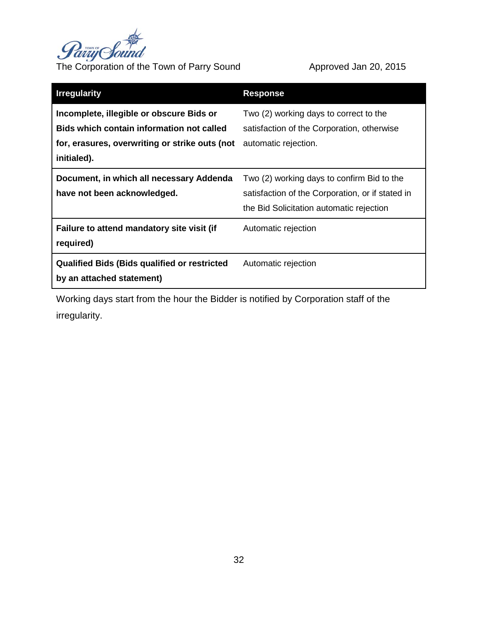

| <b>Irregularity</b>                                                                                                                                           | <b>Response</b>                                                                                                                            |
|---------------------------------------------------------------------------------------------------------------------------------------------------------------|--------------------------------------------------------------------------------------------------------------------------------------------|
| Incomplete, illegible or obscure Bids or<br><b>Bids which contain information not called</b><br>for, erasures, overwriting or strike outs (not<br>initialed). | Two (2) working days to correct to the<br>satisfaction of the Corporation, otherwise<br>automatic rejection.                               |
| Document, in which all necessary Addenda<br>have not been acknowledged.                                                                                       | Two (2) working days to confirm Bid to the<br>satisfaction of the Corporation, or if stated in<br>the Bid Solicitation automatic rejection |
| Failure to attend mandatory site visit (if<br>required)                                                                                                       | Automatic rejection                                                                                                                        |
| <b>Qualified Bids (Bids qualified or restricted</b><br>by an attached statement)                                                                              | Automatic rejection                                                                                                                        |

Working days start from the hour the Bidder is notified by Corporation staff of the irregularity.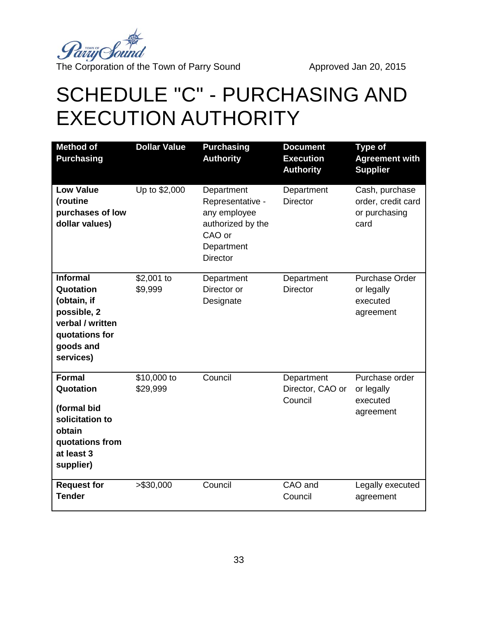

# SCHEDULE "C" - PURCHASING AND EXECUTION AUTHORITY

| <b>Method of</b><br><b>Purchasing</b>                                                                                      | <b>Dollar Value</b>     | <b>Purchasing</b><br><b>Authority</b>                                                                          | <b>Document</b><br><b>Execution</b><br><b>Authority</b> | <b>Type of</b><br><b>Agreement with</b><br><b>Supplier</b>    |
|----------------------------------------------------------------------------------------------------------------------------|-------------------------|----------------------------------------------------------------------------------------------------------------|---------------------------------------------------------|---------------------------------------------------------------|
| <b>Low Value</b><br>(routine<br>purchases of low<br>dollar values)                                                         | Up to \$2,000           | Department<br>Representative -<br>any employee<br>authorized by the<br>CAO or<br>Department<br><b>Director</b> | Department<br><b>Director</b>                           | Cash, purchase<br>order, credit card<br>or purchasing<br>card |
| <b>Informal</b><br>Quotation<br>(obtain, if<br>possible, 2<br>verbal / written<br>quotations for<br>goods and<br>services) | \$2,001 to<br>\$9,999   | Department<br>Director or<br>Designate                                                                         | Department<br><b>Director</b>                           | <b>Purchase Order</b><br>or legally<br>executed<br>agreement  |
| <b>Formal</b><br>Quotation<br>(formal bid<br>solicitation to<br>obtain<br>quotations from<br>at least 3<br>supplier)       | \$10,000 to<br>\$29,999 | Council                                                                                                        | Department<br>Director, CAO or<br>Council               | Purchase order<br>or legally<br>executed<br>agreement         |
| <b>Request for</b><br><b>Tender</b>                                                                                        | > \$30,000              | Council                                                                                                        | CAO and<br>Council                                      | Legally executed<br>agreement                                 |